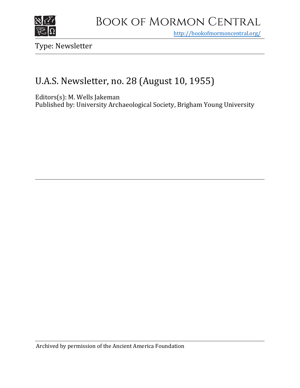

## Book of Mormon Central

<http://bookofmormoncentral.org/>

Type: Newsletter

## U.A.S. Newsletter, no. 28 (August 10, 1955)

Editors(s): M. Wells Jakeman

Published by: University Archaeological Society, Brigham Young University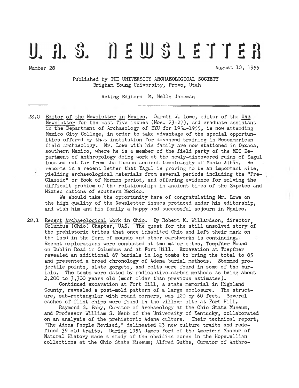## U. A. S. DEWSLETTER

Number 28 August 10, 1955

Published by THE UNIVERSITY ARCHAEOLOGICAL SOCIETY Brigham Young University, Provo, Utah

Acting Editor: M. Wells Jakeman

28.0 Editor of the Newsletter in Mexico. Gareth W. Lowe, editor of the UAS Newsletter for the past five issues (Nos. 23-27), and graduate assistant in the Department of Archaeology of BYU for 1954-1955, is now attending Mexico City College, in order to take advantage of the special opportunities offered by that institution for advanced training in Mesoamerican field archaeology. Mr. Lowe with his family are now stationed in Oaxaca, southern Mexico, where he is a member of the field party of the MCC Department of Anthropology doing work at the newly-discovered ruins of Yagul located not far from the famous ancient temple-city of Monte Alban. He reports in a recent letter that Yagul is proving to be an important site, yielding archaeological materials from several periods including the "Pre-Classic" or Book of Mormon period, and offering evidence for solving the difficult problem of the relationships in ancient times of the Zapotec and Mixtec nations of southern Mexico.

We should take the opportunity here of congratulating Mr. Lowe on the high quality of the Newsletter issues produced under his editorship, and wish him and his family a happy and successful sojourn in Mexico.

28.1 Recent Archaeological Work in Ohio. By Robert K. Willardson, director. Columbus (Ohio) Chapter, UAS. The quest for the still unsolved story of the prehistoric tribes that once inhabited Ohio and left their mark on the land in the form of mounds and other earthworks is continuing. Recent explorations were conducted at two major sites, Toepfner Mound on Dublin Road in Columbus and at Fort Hill. Excavation at Toepfner revealed an additional 67 burials in log tombs to bring the total to 85 and presented a broad chronology of Adena burial methods. Stemmed projectile points, slate gorgets, and celts were found in some of the burials. The tombs were dated by radioactive-carbon methods as being about 2,200 to 3,300 years old (much older than previous estimates).

Continued excavation at Fort Hill, a state memorial in Highland County, revealed a post-mold pattern of a large enclosure. The structure, sub-rectangular with round corners, was 120 by 60 feet. Several caches of flint chips were found in the village site at Fort Hill.

Raymond S. Baby, Curator of Archaeology at the Ohio State Museum, and Professor William S. Webb of the University of Kentucky, collaborated on an analysis of the prehistoric Adena culture. Their technical report, "The Adena People Revised," delineated 23 new culture traits and redefined 39 old traits. During 1954 James Ford of the American Museum of Natural History made a study of the obsidian cores in the Hopewellian collections at the Ohio State Museum; Alfred Guthe, Curator of Anthro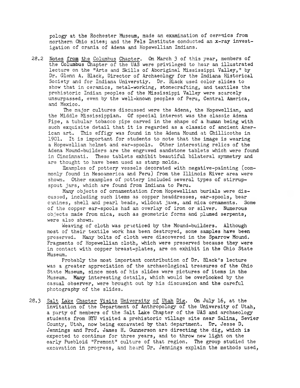pology at the Rochester Museum, made an examination of ceramics from northern Ohio sites; and the Fels Institute conducted an x-ray investigation of crania of Adena and Hopewellian Indians.

*28.2* Notes from the Columbus Chapter. On March 3 of this year, members of the Columbus Chapter of the UAS were privileged to hear an illustrated lecture on the ''Arts and Skills of Aboriginal Mississippi Valley," by Dr. Glenn A. Black, Director of Archaeology for the Indiana Historical Society and for Indiana Universtiy. Dr. Black used color slides to show that in ceramics, metal-working, stonecrafting, and textiles the prehistoric Indian peoples of the Mississippi Valley were scarcely unsurpassed, even by the well-known peoples of Peru, Central America, and Mexico.

The major cultures discussed were the Adena, the Hopewellian, and the Middle Mississippian. Of special interest was the classic Adena Pipe, a tubular tobacco pipe carved in the shape of a human being with such exquisite detail that it is regarded as a classic of ancient American art. This effigy was found in the Adena Mound at Chillicothe in 1901. It is important for students to note that the image is wearing a Hopewellian helmet and ear-spools. Other interesting relics of the Adena Mound-builders are the engraved sandstone tablets which were found in Cincinnati. These tablets exhibit beautiful bilateral symmetry and are thought to have been used as stamp molds.

Examples of pottery vessels decorated with negative-painting (commonly found in Mesoamerica and Peru) from the Illinois River area were shown. Other examples of pottery included several types of stirrupspout jars, which are found from Indiana to Peru.

Many objects of ornamentation from Hopewellian burials were discussed, including such items as copper headdresses, ear-spools, bear canines, shell and pearl beads, wildcat jaws, and mica ornaments. Some of the copper ear-spools had an overlay of iron or silver. Numerous objects made from mica, such as geometric forms and plumed serpents, were also shown.

Weaving of cloth was practiced by the Mound-builders. Although most of their textile work has been destroyed, some samples have been preserved. Many bolts of cloth were discovered in the Sparrow Mound. Fragments of Hopewellian cloth, which were preserved because they were in contact with copper breast-plates, are on exhibit in the Ohio State Museum.

Probably the most important contribution of Dr. Black's lecture was a greater appreciation of the archaeological treasures of the Ohio State Museum, since most of his slides were pictures of items in the Museum. Many interesting details, which would be overlooked by the casual observer, were brought out by his discussion and the careful photography of the slides.

28.3 Salt Lake Chapter Visits University of Utah Dig. On July 16, at the invitation of the Department of Anthropology of the University of Utah, a party of members of the Salt Lake Chapter of the UAS and archaeology students from BYU visited a prehistoric village site near Salina, Sevier County, Utah, now being excavated by that department. Dr. Jesse D. Jennings and Prof. James H. Gunnerson are directing the dig, which is expected to continue for three years, and to throw new light on the early Puebloid "Fremont" culture of that region. The group studied the excavation in progress, and heard Dr. Jennings explain the methods used,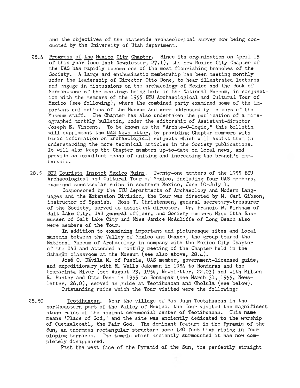and the objectives of the statewide archaeological survey now being conducted by the University of Utah department.

- 28.4 Progress of the Mexico City Chapter. Since its organization on April 15 of this year (see last Newsletter, 27.1), the new Mexico City Chapter of the UAS has rapidly become one of the most flourishing branches of the Society. A large and enthusiastic membership has been meeting monthly under the leadership of Director Otto Done, to hear illustrated lectures and engage in discussions on the archaeology of Mexico and the Book of Mormon—one of the meetings being held in the National Museum, in conjunction with the members of the 1955 BYU Archaeological and Cultural Tour of Mexico (see following), where the combined party examined some of the important collections of the Museum and were addressed by members of the Museum staff. The Chapter has also undertaken the publication of a mimeographed monthly bulletin, under the editorship of Assistant-director Joseph E. Vincent. To be known as the "Archie-0-logic," this bulletin will supplement the UAS Newsletter, by providing Chapter members with basic information on archaeological subjects which will assist them in understanding the more technical articles in the Society publications. It will also keep the Chapter members up-to-date on local news, and provide an excellent means of uniting and increasing the branch's membership.
- 28.5 <u>BYU Tourists Inspect Mexico</u> <u>Ruins</u>. Twenty-one members of the 1955 BYU Archaeological and Cultural Tour of Mexico, including four UAS members, examined spectacular ruins in southern Mexico, June 10-July 1.

Cosponsored by the BYU departments of Archaeology and Modern Languages and the Extension Division, the Tour was directed by M. Carl Gibson, instructor of Spanish. Ross T. Christensen, general secretary-treasurer of the Society, served as assistant director. Dr. Francis W. Kirkham of Salt Lake City, UAS general officer, and Society members Miss Etta Rasmussen of Salt Lake City and Miss Janice McAuliffe of Long Beach also were members of the Tour.

In addition to examining important and picturesque sites and local museums between the Valley of Mexico and Oaxaca, the group toured the National Museum of Archaeology in company with the Mexico City Chapter of the UAS and attended a monthly meeting of the Chapter held in the Sahagun classroom at the Museum (see also above,  $28.4$ ).

Jos£ 0. Davila M. of Puebla, UAS member, government-licensed guide, and expeditionary with M. Wells Jakeman in 1954 to Honduras and the Usumacinta River (see August 23, 1954, Newsletter, 22.03) and with Milton R. Hunter and Otto Done in 1955 to Bonampak (see March 31, 1955, Newsletter, 26.0), served as guide at Teotihuacan and Cholula (see below). Outstanding ruins which the Tour visited were the following:

28.50 Teotihuacan. Near the village of San Juan Teotihuacan in the northeastern part of the Valley of Mexico, the Tour visited the magnificent stone ruins of the ancient ceremonial center of Teotihuacan. This name means 'Place of God,' and the site was anciently dedicated to the worship of Quetzalcoatl, the Fair God. The dominant feature is the Pyramid of the Sun, an enormous rectangular structure some 180 feet high rising in four sloping terraces. The temple which anciently surmounted it has now completely disappeared.

Past the west face of the Pyramid of the Sun, the perfectly straight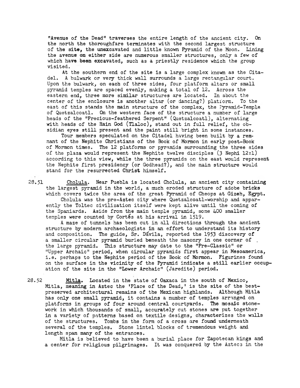"Avenue of the Dead" traverses the entire length of the ancient city. On the north the thoroughfare terminates with the second largest structure of the site, the unexcavated and little known Pyramid of the Moon. Lining the avenue on either side are numerous smaller structures, only a few of which have been excavated, such as a priestly residence which the group visited.

At the southern end of the site is a large complex known as the Citadel. A bulwark or very thick wall surrounds a large rectangular court. Upon the bulwark, on each of three sides, four platform altars or small pyramid temples are spaced evenly, making a total of 12. Across the eastern end, three more similar structures are located. In about the center of the enclosure is another altar (or dancing?) platform. To the center of the enclosure is another altar (or dancing?) platform. east of this stands the main structure of the complex, the Fyramid-Temple of Quetzalcoatl. On the western face of the structure a number of large heads of the "Precious-feathered Serpent" (Quetzalcoatl), alternating with heads of the Rain God (Tlaloc), stand out in full relief, the obsidian eyes still present and the paint still bright in some instances.

Tour members speculated on the Citadel having been built by a remnant of the Nephite Christians of the Book of Mormon in early post-Book of Mormon times. The 12 platforms or pyramids surrounding the three sides of the plaza would represent the Nephite twelve disciples (3 Nephi 12:1) according to this view, while the three pyramids on the east would represent the Nephite first presidency (or Godhead?), and the main structure would stand for the resurrected Christ himself.

28.51 Cholula. Near Puebla is located Cholula, an ancient city containing the largest pyramid in the world, a much eroded structure of adobe bricks which covers twice the area of the great Pyramid of Cheops at Gizeh, Egypt.

Cholula was the pre-Aztec city where Quetzalcoatl-worship and apparently the Toltec civilization itself were kept alive until the coming of the Spaniards. Aside from the main temple pyramid, some 400 smaller temples were counted by Cortés at his arrival in 1519.

A maze of tunnels has been cut in all directions through the ancient structure by modern archaeologists in an effort to understand its history and composition. The guide, Sr. Davila, reported the 1953 discovery of a smaller circular pyramid buried beneath the masonry in one corner of . the large pyramid. This structure may date to the "Pre-Classic" or "Upper Archaic" period, when circular pyramids first appear in Mesoamerica, i.e. perhaps to the Nephite period of the Book of Mormon. Figurines found on the surface in the vicinity of the Pyramid indicate a still earlier occupation of the site in the "Lower Archaic" (Jaredite) period.

28.52 **Mitla.** Located in the state of Oaxaca in the south of Mexico, Mitla, meaning in Aztec the 'Place of the Dead,' is the site of the bestpreserved architectural remains of the Mexican highlands. Although Mitla has only one small pyramid, it contains a number of temples arranged on platforms in groups of four around central courtyards. The mosaic stonework in which thousands of small, accurately cut stones are put together in a variety of patterns based on textile designs, characterizes the walls of the structures. Tombs in the form of a cross are found underneath several of the temples. Stone lintel blocks of tremendous weight and length span many of the entrances.

Mitla is believed to have been a burial place for Zapotecan kings and a center for religious pilgrimages. It was conquered by the Aztecs in the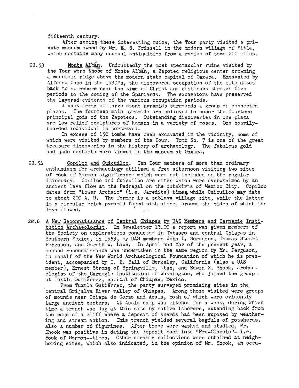fifteenth century.

After seeing these interesting ruins, the Tour party visited a private museum owned by Mr. E. R. Frissell in the modern village of Mitla, which contains many unusual antiquities from a radius of some 200 miles.

28.53 **Monte Alban.** Undoubtedly the most spectacular ruins visited by the Tour were those of Monte Alban, a Zapotec religious center crowning a mountain ridge above the modern 3tate capital of Oaxaca. Excavated by Alfonso Caso in the 193O\*s, the discovered occupation of the site dates back to somewhere near the time of Christ and continues through five periods to the coming of the Spaniards. The excavators have preserved the layered evidence of the various occupation periods.

A vast array of large stone pyramids surrounds a group of connected plazas. The fourteen main pyramids are believed to honor the fourteen principal gods of the Zapotecs. Outstanding discoveries in one plaza are low relief sculptures of humans in a variety of poses. One heavilybearded individual is portrayed.

In excess of 150 tombs have been excavated in the vicinity, some of which were visited by members of the Tour. Tomb No. 7 is one of the great treasure discoveries in the history of archaeology. The fabulous gold and jade contents were viewed in the museum at Oaxaca.

28.54 Copilco and Cuicuilco. Ten Tour members of more than ordinary enthusiasm for archaeology utilized a free afternoon visiting two sites of Book of Mormon significance which were not included on the regular itinerary. Copilco and Cuicuilco are sites which were overwhelmed by an ancient lava flow at the Pedregal on the outskir+s of Mexico City. Copilco dates from "Lower Archaic" (i.e. Jaredite) times while Cuicuilco may date to about 200 A. D. The former is a sublava village site, while the latter is a circular brick pyramid faced with stone, around the sides of which the lava flowed.

28.6 A New Reconnaissance of Central Chiapas by UAS Members and Carnegie Institution Archaeologist. In Newsletter 13.00 a report was given members of the Society on explorations conducted in Tabasco and central Chiapas in Southern Mexico, in 1953, by UAS members John L. Sorenson, Thomas Stuart Ferguson, and Gareth W. Lowe. In April and Mav of the present year, a second reconnaissance was undertaken in the same region by Mr. Ferguson, in behalf of the New World Archaeological Foundation of which he is president, accompanied by I. B. Ball of Berkeley, California (also a UAS member), Ernest Strong of Springville, Utah, and Edwin M. Shook, archaeologist of the Carnegie Institution of Washington, who joined the group . at Tuxtla Gutierrez, capital of Chiapas, Mexico.

From Tuxtla Gutierrez, the party surveyed promising sites in the central Grijalva River valley of Chiapas. Among those visited were groups of mounds near Chiapa de Corzo and Acala, both of which were evidently large ancient centers. At Acala camp was pitched for a week, during which time a trench was dug at this site by native laborers, extending back from the edge of a cliff where a deposit of sherds had been exposed by weathering and stream action. This trench yielded several bagfuls of potsherds, also a number of figurines. After these were washed and studied, Mr. Shook was positive in dating the deposit back into "Pre-Classic"--i.e. Book of Mormon—times. Other ceramic collections were obtained at neighboring sites, which also indicated, in the opinion of Mr. Shook, an occu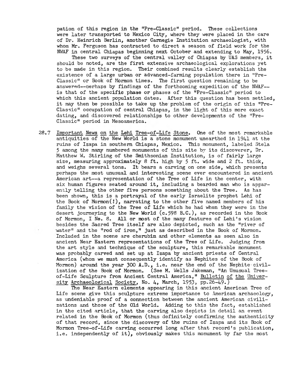pation of this region in the "Pre-Classic" period. These collections were later transported to Mexico City, where they were placed in the care of Dr. Heinrich Berlin, another Carnegie Institution archaeologist, with whom Mr. Ferguson has contracted to direct a season of field work for the NWAF in central Chiapas beginning next October and extending to May, 1956.

These two surveys of the central valley of Chiapas by UAS members, it should be noted, are the first extensive archaeological explorations yet to be made in this region. Their combined results clearly establish the existence of a large urban or advanced-farming population there in "Pre-Classic" or Book of Mormon times. The first question remaining to be answered--perhaps by findings of the forthcoming expedition of the NWAF-is that of the specific phase or phases of the "Pre-Classic" period to which this ancient population dates. After this question has been settled, it may then be possible to take up the problem of the origin of this "Pre-Classic" occupation of central Chiapas, in the light of this more exact dating, and discovered relationships to other developments of the "Pre-Classic" period in Mesoamerica.

28.7 Important News on the Lehi Tree-of-Life Stone. One of the most remarkable antiquities of the New World i3 a stone monument unearthed in 1941 at the ruins of Izapa in southern Chiapas, Mexico. This monument, labeled Stela 5 among the many numbered monuments of this site by its discoverer, Dr. Matthew W. Stirling of the Smithsonian Institution, is of fairly large size, measuring approximately 8 ft. high by 5 ft. wide and 2 ft. thick, and weighs several tons. It bears a carving on one side, which presents perhaps the most unusual and interesting scene ever encountered in ancient American art—<sup>a</sup> representation of the Tree of Life in the center, with six human figures seated around it, including a bearded man who is apparently telling the other five persons something about the Tree. As has been shown, this is a portrayal of the early Israelite prophet Lehi of the Book of Mormon(!), narrating to the other five named members of his family the vision of the Tree of Life which he had when they were in the desert journeying to the New World (c.598 B.C.), as recorded in the Book of Mormon, I Ne. 8. All or most of the many features of Lehi's vision besides the Sacred Tree itself are also depicted, such as the "river of water" and the "rod of iron," just as described in the Book of Mormon. Included in the scene are cherubim and other elements as seen also in ancient Near Eastern representations of the Tree of Life. Judging from the art style and technique of the sculpture, this remarkable monument was probably carved and set up at Izapa by ancient priests of Central America (whom we must consequently identify as Nephites of the Book of Mormon) around the year 300 A.D., i.e. near the end of the Nephite·civilization of the Book of Mormon. (See M. Wells Jakeman, "An Unusual Treeof-Life Sculpture from Ancient Central America," <u>Bulletin of the Univer</u>-<br><u>sity Archaeological</u> Society, No. 4, March, 1953, pp.26-49.)

The Near Eastern elements appearing in this ancient American Tree of Life scene give this sculpture extreme importance to American archaeology, as undeniable proof of a connection between the ancient American civilizations and those of the Old World. Adding to this the fact, established in the cited article, that the carving also depicts in detail an event related in the Book of Mormon (thus definitely confirming the authenticity of that record, since the discovery of the ruins of Izapa and its Book of Mormon Tree-of-Life carving occurred long after that record's publication, i.e. independently of it), obviously makes this monument by far the most